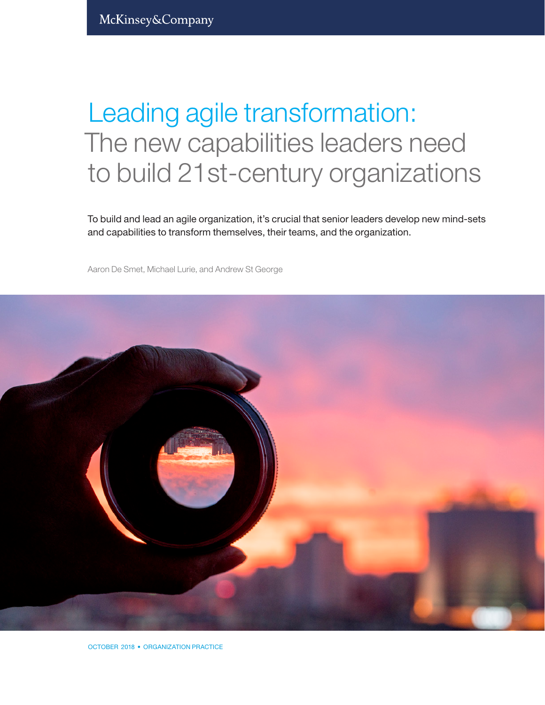# Leading agile transformation: The new capabilities leaders need to build 21st-century organizations

To build and lead an agile organization, it's crucial that senior leaders develop new mind-sets and capabilities to transform themselves, their teams, and the organization.

Aaron De Smet, Michael Lurie, and Andrew St George



OCTOBER 2018 • ORGANIZATION PRACTICE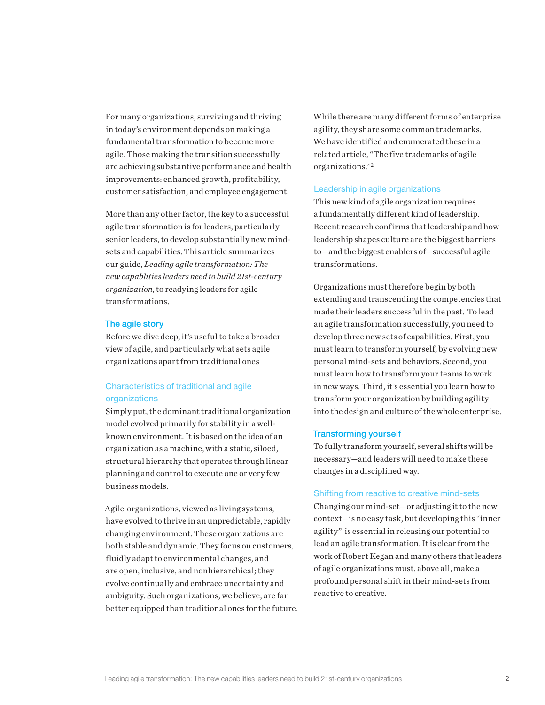For many organizations, surviving and thriving in today's environment depends on making a fundamental transformation to become more agile. Those making the transition successfully are achieving substantive performance and health improvements: enhanced growth, profitability, customer satisfaction, and employee engagement.

More than any other factor, the key to a successful agile transformation is for leaders, particularly senior leaders, to develop substantially new mindsets and capabilities. This article summarizes our guide, *Leading agile transformation: The new capablities leaders need to build 21st-century organization*, to readying leaders for agile transformations.

#### The agile story

Before we dive deep, it's useful to take a broader view of agile, and particularly what sets agile organizations apart from traditional ones

# Characteristics of traditional and agile organizations

Simply put, the dominant traditional organization model evolved primarily for stability in a wellknown environment. It is based on the idea of an organization as a machine, with a static, siloed, structural hierarchy that operates through linear planning and control to execute one or very few business models.

Agile organizations, viewed as living systems, have evolved to thrive in an unpredictable, rapidly changing environment. These organizations are both stable and dynamic. They focus on customers, fluidly adapt to environmental changes, and are open, inclusive, and nonhierarchical; they evolve continually and embrace uncertainty and ambiguity. Such organizations, we believe, are far better equipped than traditional ones for the future. While there are many different forms of enterprise agility, they share some common trademarks. We have identified and enumerated these in a related article, "The five trademarks of agile organizations."2

#### Leadership in agile organizations

This new kind of agile organization requires a fundamentally different kind of leadership. Recent research confirms that leadership and how leadership shapes culture are the biggest barriers to—and the biggest enablers of—successful agile transformations.

Organizations must therefore begin by both extending and transcending the competencies that made their leaders successful in the past. To lead an agile transformation successfully, you need to develop three new sets of capabilities. First, you must learn to transform yourself, by evolving new personal mind-sets and behaviors. Second, you must learn how to transform your teams to work in new ways. Third, it's essential you learn how to transform your organization by building agility into the design and culture of the whole enterprise.

# Transforming yourself

To fully transform yourself, several shifts will be necessary—and leaders will need to make these changes in a disciplined way.

#### Shifting from reactive to creative mind-sets

Changing our mind-set—or adjusting it to the new context—is no easy task, but developing this "inner agility" is essential in releasing our potential to lead an agile transformation. It is clear from the work of Robert Kegan and many others that leaders of agile organizations must, above all, make a profound personal shift in their mind-sets from reactive to creative.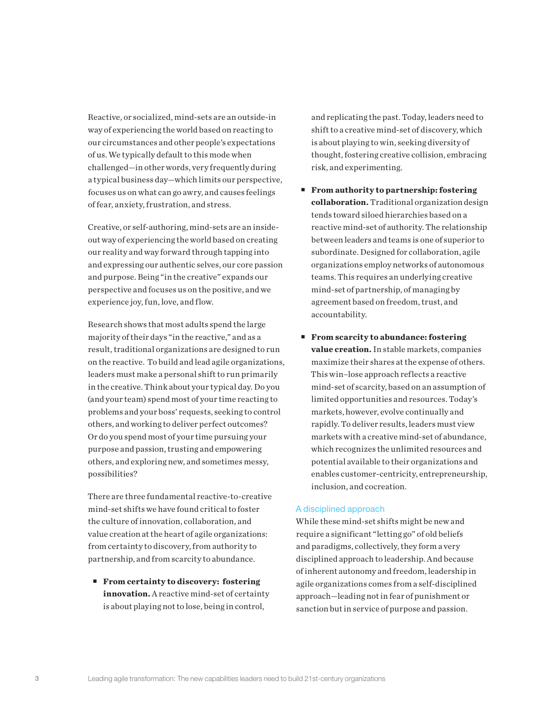Reactive, or socialized, mind-sets are an outside-in way of experiencing the world based on reacting to our circumstances and other people's expectations of us. We typically default to this mode when challenged—in other words, very frequently during a typical business day—which limits our perspective, focuses us on what can go awry, and causes feelings of fear, anxiety, frustration, and stress.

Creative, or self-authoring, mind-sets are an insideout way of experiencing the world based on creating our reality and way forward through tapping into and expressing our authentic selves, our core passion and purpose. Being "in the creative" expands our perspective and focuses us on the positive, and we experience joy, fun, love, and flow.

Research shows that most adults spend the large majority of their days "in the reactive," and as a result, traditional organizations are designed to run on the reactive. To build and lead agile organizations, leaders must make a personal shift to run primarily in the creative. Think about your typical day. Do you (and your team) spend most of your time reacting to problems and your boss' requests, seeking to control others, and working to deliver perfect outcomes? Or do you spend most of your time pursuing your purpose and passion, trusting and empowering others, and exploring new, and sometimes messy, possibilities?

There are three fundamental reactive-to-creative mind-set shifts we have found critical to foster the culture of innovation, collaboration, and value creation at the heart of agile organizations: from certainty to discovery, from authority to partnership, and from scarcity to abundance.

 **From certainty to discovery: fostering innovation.** A reactive mind-set of certainty is about playing not to lose, being in control,

and replicating the past. Today, leaders need to shift to a creative mind-set of discovery, which is about playing to win, seeking diversity of thought, fostering creative collision, embracing risk, and experimenting.

- **From authority to partnership: fostering collaboration.** Traditional organization design tends toward siloed hierarchies based on a reactive mind-set of authority. The relationship between leaders and teams is one of superior to subordinate. Designed for collaboration, agile organizations employ networks of autonomous teams. This requires an underlying creative mind-set of partnership, of managing by agreement based on freedom, trust, and accountability.
- **From scarcity to abundance: fostering value creation.** In stable markets, companies maximize their shares at the expense of others. This win–lose approach reflects a reactive mind-set of scarcity, based on an assumption of limited opportunities and resources. Today's markets, however, evolve continually and rapidly. To deliver results, leaders must view markets with a creative mind-set of abundance, which recognizes the unlimited resources and potential available to their organizations and enables customer-centricity, entrepreneurship, inclusion, and cocreation.

# A disciplined approach

While these mind-set shifts might be new and require a significant "letting go" of old beliefs and paradigms, collectively, they form a very disciplined approach to leadership. And because of inherent autonomy and freedom, leadership in agile organizations comes from a self-disciplined approach—leading not in fear of punishment or sanction but in service of purpose and passion.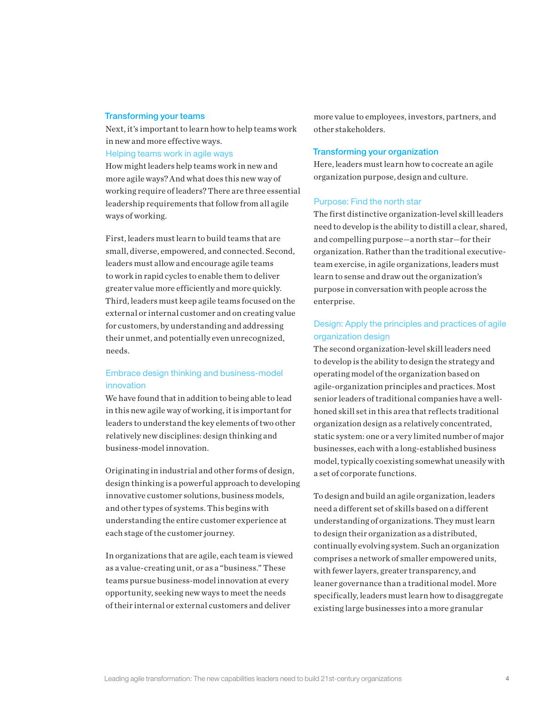# Transforming your teams

Next, it's important to learn how to help teams work in new and more effective ways.

#### Helping teams work in agile ways

How might leaders help teams work in new and more agile ways? And what does this new way of working require of leaders? There are three essential leadership requirements that follow from all agile ways of working.

First, leaders must learn to build teams that are small, diverse, empowered, and connected. Second, leaders must allow and encourage agile teams to work in rapid cycles to enable them to deliver greater value more efficiently and more quickly. Third, leaders must keep agile teams focused on the external or internal customer and on creating value for customers, by understanding and addressing their unmet, and potentially even unrecognized, needs.

# Embrace design thinking and business-model innovation

We have found that in addition to being able to lead in this new agile way of working, it is important for leaders to understand the key elements of two other relatively new disciplines: design thinking and business-model innovation.

Originating in industrial and other forms of design, design thinking is a powerful approach to developing innovative customer solutions, business models, and other types of systems. This begins with understanding the entire customer experience at each stage of the customer journey.

In organizations that are agile, each team is viewed as a value-creating unit, or as a "business." These teams pursue business-model innovation at every opportunity, seeking new ways to meet the needs of their internal or external customers and deliver

more value to employees, investors, partners, and other stakeholders.

## Transforming your organization

Here, leaders must learn how to cocreate an agile organization purpose, design and culture.

#### Purpose: Find the north star

The first distinctive organization-level skill leaders need to develop is the ability to distill a clear, shared, and compelling purpose—a north star—for their organization. Rather than the traditional executiveteam exercise, in agile organizations, leaders must learn to sense and draw out the organization's purpose in conversation with people across the enterprise.

# Design: Apply the principles and practices of agile organization design

The second organization-level skill leaders need to develop is the ability to design the strategy and operating model of the organization based on agile-organization principles and practices. Most senior leaders of traditional companies have a wellhoned skill set in this area that reflects traditional organization design as a relatively concentrated, static system: one or a very limited number of major businesses, each with a long-established business model, typically coexisting somewhat uneasily with a set of corporate functions.

To design and build an agile organization, leaders need a different set of skills based on a different understanding of organizations. They must learn to design their organization as a distributed, continually evolving system. Such an organization comprises a network of smaller empowered units, with fewer layers, greater transparency, and leaner governance than a traditional model. More specifically, leaders must learn how to disaggregate existing large businesses into a more granular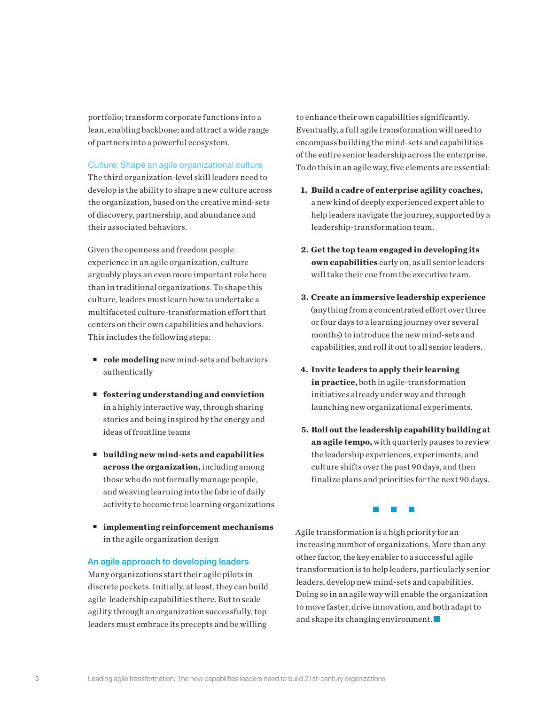portfolio; transform corporate functions into a lean, enabling backbone; and attract a wide range of partners into a powerful ecosystem.

## Culture: Shape an agile organizational culture

The third organization-level skill leaders need to develop is the ability to shape a new culture across the organization, based on the creative mind-sets of discovery, partnership, and abundance and their associated behaviors.

Given the openness and freedom people experience in an agile organization, culture arguably plays an even more important role here than in traditional organizations. To shape this culture, leaders must learn how to undertake a multifaceted culture-transformation effort that centers on their own capabilities and behaviors. This includes the following steps:

- **role modeling** new mind-sets and behaviors authentically
- **fostering understanding and conviction** in a highly interactive way, through sharing stories and being inspired by the energy and ideas of frontline teams
- **building new mind-sets and capabilities across the organization,** including among those who do not formally manage people, and weaving learning into the fabric of daily activity to become true learning organizations
- **implementing reinforcement mechanisms** in the agile organization design

### An agile approach to developing leaders

Many organizations start their agile pilots in discrete pockets. Initially, at least, they can build agile-leadership capabilities there. But to scale agility through an organization successfully, top leaders must embrace its precepts and be willing

to enhance their own capabilities significantly. Eventually, a full agile transformation will need to encompass building the mind-sets and capabilities of the entire senior leadership across the enterprise. To do this in an agile way, five elements are essential:

- **1. Build a cadre of enterprise agility coaches,**  a new kind of deeply experienced expert able to help leaders navigate the journey, supported by a leadership-transformation team.
- **2. Get the top team engaged in developing its own capabilities** early on, as all senior leaders will take their cue from the executive team.
- **3. Create an immersive leadership experience**  (anything from a concentrated effort over three or four days to a learning journey over several months) to introduce the new mind-sets and capabilities, and roll it out to all senior leaders.
- **4. Invite leaders to apply their learning in practice,** both in agile-transformation initiatives already under way and through launching new organizational experiments.
- **5. Roll out the leadership capability building at an agile tempo,** with quarterly pauses to review the leadership experiences, experiments, and culture shifts over the past 90 days, and then finalize plans and priorities for the next 90 days.

**Contract Contract** 

Agile transformation is a high priority for an increasing number of organizations. More than any other factor, the key enabler to a successful agile transformation is to help leaders, particularly senior leaders, develop new mind-sets and capabilities. Doing so in an agile way will enable the organization to move faster, drive innovation, and both adapt to and shape its changing environment.